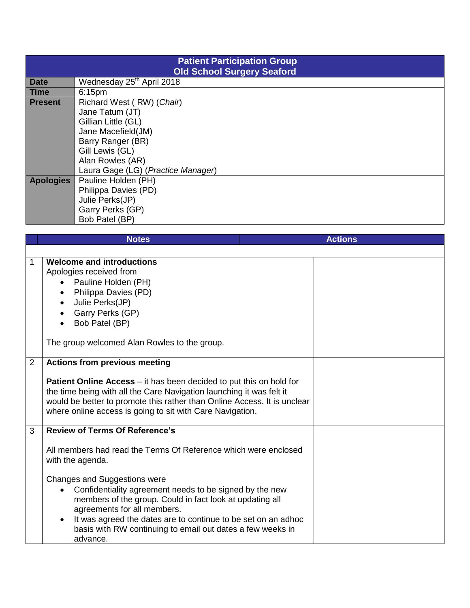| <b>Patient Participation Group</b><br><b>Old School Surgery Seaford</b> |                                       |  |  |  |
|-------------------------------------------------------------------------|---------------------------------------|--|--|--|
| <b>Date</b>                                                             | Wednesday 25 <sup>th</sup> April 2018 |  |  |  |
| <b>Time</b>                                                             | 6:15 <sub>pm</sub>                    |  |  |  |
| <b>Present</b>                                                          | Richard West (RW) (Chair)             |  |  |  |
|                                                                         | Jane Tatum (JT)                       |  |  |  |
|                                                                         | Gillian Little (GL)                   |  |  |  |
|                                                                         | Jane Macefield(JM)                    |  |  |  |
|                                                                         | Barry Ranger (BR)                     |  |  |  |
|                                                                         | Gill Lewis (GL)                       |  |  |  |
|                                                                         | Alan Rowles (AR)                      |  |  |  |
|                                                                         | Laura Gage (LG) (Practice Manager)    |  |  |  |
| <b>Apologies</b>                                                        | Pauline Holden (PH)                   |  |  |  |
|                                                                         | Philippa Davies (PD)                  |  |  |  |
|                                                                         | Julie Perks(JP)                       |  |  |  |
|                                                                         | Garry Perks (GP)                      |  |  |  |
|                                                                         | Bob Patel (BP)                        |  |  |  |

|   | <b>Notes</b>                                                                                                                                                                                                                                                                                                                               | <b>Actions</b> |
|---|--------------------------------------------------------------------------------------------------------------------------------------------------------------------------------------------------------------------------------------------------------------------------------------------------------------------------------------------|----------------|
|   |                                                                                                                                                                                                                                                                                                                                            |                |
| 1 | Welcome and introductions<br>Apologies received from<br>Pauline Holden (PH)<br>Philippa Davies (PD)<br>Julie Perks(JP)<br>Garry Perks (GP)<br>Bob Patel (BP)<br>The group welcomed Alan Rowles to the group.                                                                                                                               |                |
| 2 | <b>Actions from previous meeting</b>                                                                                                                                                                                                                                                                                                       |                |
|   | Patient Online Access - it has been decided to put this on hold for<br>the time being with all the Care Navigation launching it was felt it<br>would be better to promote this rather than Online Access. It is unclear<br>where online access is going to sit with Care Navigation.                                                       |                |
| 3 | <b>Review of Terms Of Reference's</b>                                                                                                                                                                                                                                                                                                      |                |
|   | All members had read the Terms Of Reference which were enclosed<br>with the agenda.                                                                                                                                                                                                                                                        |                |
|   | Changes and Suggestions were<br>Confidentiality agreement needs to be signed by the new<br>$\bullet$<br>members of the group. Could in fact look at updating all<br>agreements for all members.<br>It was agreed the dates are to continue to be set on an adhoc<br>basis with RW continuing to email out dates a few weeks in<br>advance. |                |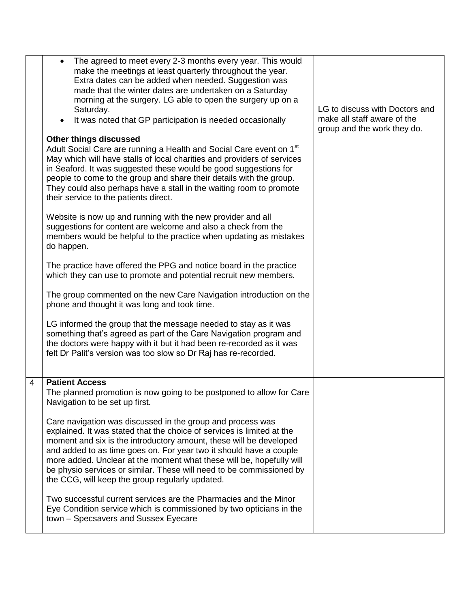|   | The agreed to meet every 2-3 months every year. This would<br>make the meetings at least quarterly throughout the year.<br>Extra dates can be added when needed. Suggestion was<br>made that the winter dates are undertaken on a Saturday<br>morning at the surgery. LG able to open the surgery up on a<br>Saturday.<br>It was noted that GP participation is needed occasionally<br><b>Other things discussed</b><br>Adult Social Care are running a Health and Social Care event on 1 <sup>st</sup><br>May which will have stalls of local charities and providers of services<br>in Seaford. It was suggested these would be good suggestions for<br>people to come to the group and share their details with the group.<br>They could also perhaps have a stall in the waiting room to promote<br>their service to the patients direct.<br>Website is now up and running with the new provider and all<br>suggestions for content are welcome and also a check from the<br>members would be helpful to the practice when updating as mistakes<br>do happen.<br>The practice have offered the PPG and notice board in the practice<br>which they can use to promote and potential recruit new members.<br>The group commented on the new Care Navigation introduction on the<br>phone and thought it was long and took time.<br>LG informed the group that the message needed to stay as it was<br>something that's agreed as part of the Care Navigation program and | LG to discuss with Doctors and<br>make all staff aware of the<br>group and the work they do. |
|---|----------------------------------------------------------------------------------------------------------------------------------------------------------------------------------------------------------------------------------------------------------------------------------------------------------------------------------------------------------------------------------------------------------------------------------------------------------------------------------------------------------------------------------------------------------------------------------------------------------------------------------------------------------------------------------------------------------------------------------------------------------------------------------------------------------------------------------------------------------------------------------------------------------------------------------------------------------------------------------------------------------------------------------------------------------------------------------------------------------------------------------------------------------------------------------------------------------------------------------------------------------------------------------------------------------------------------------------------------------------------------------------------------------------------------------------------------------------------------|----------------------------------------------------------------------------------------------|
|   | the doctors were happy with it but it had been re-recorded as it was<br>felt Dr Palit's version was too slow so Dr Raj has re-recorded.                                                                                                                                                                                                                                                                                                                                                                                                                                                                                                                                                                                                                                                                                                                                                                                                                                                                                                                                                                                                                                                                                                                                                                                                                                                                                                                                    |                                                                                              |
| 4 | <b>Patient Access</b><br>The planned promotion is now going to be postponed to allow for Care<br>Navigation to be set up first.<br>Care navigation was discussed in the group and process was<br>explained. It was stated that the choice of services is limited at the<br>moment and six is the introductory amount, these will be developed<br>and added to as time goes on. For year two it should have a couple<br>more added. Unclear at the moment what these will be, hopefully will<br>be physio services or similar. These will need to be commissioned by<br>the CCG, will keep the group regularly updated.<br>Two successful current services are the Pharmacies and the Minor<br>Eye Condition service which is commissioned by two opticians in the<br>town - Specsavers and Sussex Eyecare                                                                                                                                                                                                                                                                                                                                                                                                                                                                                                                                                                                                                                                                  |                                                                                              |